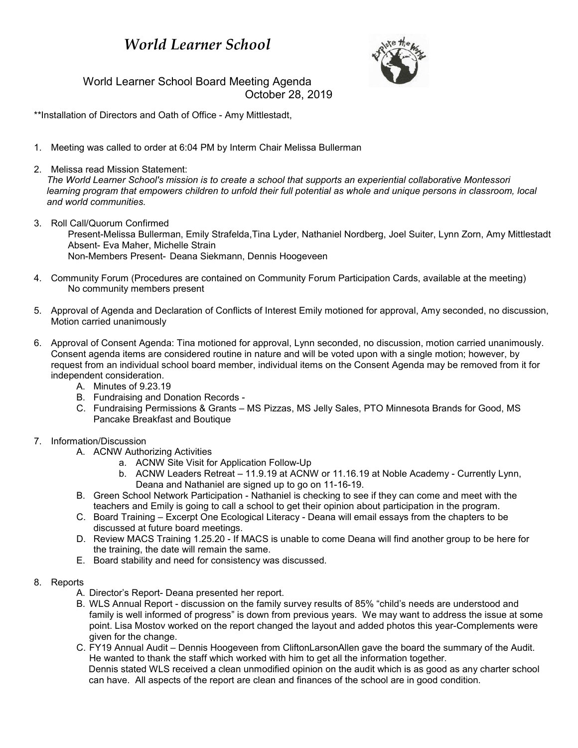## *World Learner School*



World Learner School Board Meeting Agenda October 28, 2019

\*\*Installation of Directors and Oath of Office - Amy Mittlestadt,

- 1. Meeting was called to order at 6:04 PM by Interm Chair Melissa Bullerman
- 2. Melissa read Mission Statement:

*The World Learner School's mission is to create a school that supports an experiential collaborative Montessori learning program that empowers children to unfold their full potential as whole and unique persons in classroom, local and world communities.*

- 3. Roll Call/Quorum Confirmed Present-Melissa Bullerman, Emily Strafelda,Tina Lyder, Nathaniel Nordberg, Joel Suiter, Lynn Zorn, Amy Mittlestadt Absent- Eva Maher, Michelle Strain Non-Members Present- Deana Siekmann, Dennis Hoogeveen
- 4. Community Forum (Procedures are contained on Community Forum Participation Cards, available at the meeting) No community members present
- 5. Approval of Agenda and Declaration of Conflicts of Interest Emily motioned for approval, Amy seconded, no discussion, Motion carried unanimously
- 6. Approval of Consent Agenda: Tina motioned for approval, Lynn seconded, no discussion, motion carried unanimously. Consent agenda items are considered routine in nature and will be voted upon with a single motion; however, by request from an individual school board member, individual items on the Consent Agenda may be removed from it for independent consideration.
	- A. Minutes of 9.23.19
	- B. Fundraising and Donation Records -
	- C. Fundraising Permissions & Grants MS Pizzas, MS Jelly Sales, PTO Minnesota Brands for Good, MS Pancake Breakfast and Boutique
- 7. Information/Discussion
	- A. ACNW Authorizing Activities
		- a. ACNW Site Visit for Application Follow-Up
		- b. ACNW Leaders Retreat 11.9.19 at ACNW or 11.16.19 at Noble Academy Currently Lynn, Deana and Nathaniel are signed up to go on 11-16-19.
	- B. Green School Network Participation Nathaniel is checking to see if they can come and meet with the teachers and Emily is going to call a school to get their opinion about participation in the program.
	- C. Board Training Excerpt One Ecological Literacy Deana will email essays from the chapters to be discussed at future board meetings.
	- D. Review MACS Training 1.25.20 If MACS is unable to come Deana will find another group to be here for the training, the date will remain the same.
	- E. Board stability and need for consistency was discussed.
- 8. Reports
	- A. Director's Report- Deana presented her report.
	- B. WLS Annual Report discussion on the family survey results of 85% "child's needs are understood and family is well informed of progress" is down from previous years. We may want to address the issue at some point. Lisa Mostov worked on the report changed the layout and added photos this year-Complements were given for the change.
	- C. FY19 Annual Audit Dennis Hoogeveen from CliftonLarsonAllen gave the board the summary of the Audit. He wanted to thank the staff which worked with him to get all the information together. Dennis stated WLS received a clean unmodified opinion on the audit which is as good as any charter school can have. All aspects of the report are clean and finances of the school are in good condition.